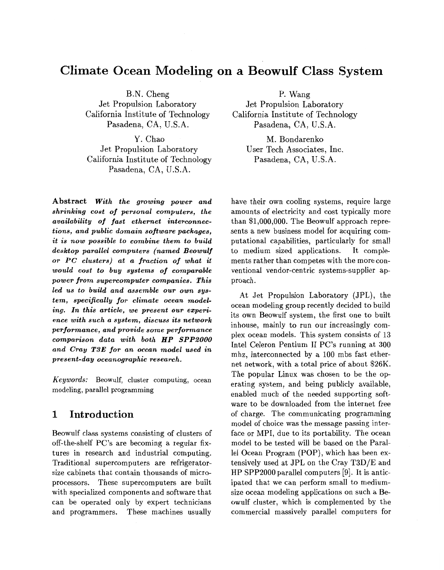# **Climate Ocean Modeling on a Beowulf Class System**

B.N. Cheng P. Wang<br>Jet Propulsion Laboratory Jet Propulsion La Jet Propulsion Laboratory<br>
California Institute of Technology<br>
California Institute of Technology<br>
California Institute of Technology

Y. Chao M. Bondarenko<br>Jet Propulsion Laboratory User Tech Associates California Institute of Technology Pasadena, CA, U.S.A.

**Abstract** *With the growing power and shrinking cost of personal computers, the availability of fast ethernet interconnections, and public domain software packages, it is now possible to combine them to build desktop parallel computers (named Beowulf or PC clusters) at a fraction of what it would cost to buy systems of comparable power from supercomputer companies. This led us to build and assemble our own system, specifically for climate ocean modeling. In this article, we present our experience with such a system, discuss its network performance, and provide some performance comparison data with both HP SPP.2000 and Cray T3E for an ocean model used in present-day oceanographic research.* 

*Keywords:* Beowulf, cluster computing, ocean modeling, parallel programming

### **1 Introduction**

Beowulf class systems consisting of clusters of off-the-shelf PC's are becoming a regular fixtures in research and industrial computing. Traditional supercomputers are refrigeratorsize cabinets that contain thousands of microprocessors. These supercomputers are built with specialized components and software that can be operated only by expert technicians and programmers. These machines usually

ornia Institute of Technology<br>
Pasadena, CA, U.S.A.<br>
Pasadena, CA, U.S.A. Pasadena, CA, U.S.A.

User Tech Associates, Inc.<br>Pasadena, CA, U.S.A.

have their own cooling systems, require large amounts of electricity and cost typically more than \$1,000,000. The Beowulf approach represents a new business model for acquiring computational capabilities, particularly for small to medium sized applications. It complements rather than competes with the more conventional vendor-centric systems-supplier approach.

At Jet Propulsion Laboratory (JPL), the ocean modeling group recently decided to build its own Beowulf system, the first one to built inhouse, mainly to run our increasingly complex ocean models. This system consists of 13 Intel Celeron Pentium I1 PC's running at **300**  mhz, interconnected by a 100 mbs fast ethernet network, with a total price of about \$26K. The popular Linux was chosen to be the operating system, and being publicly available, enabled much of the needed supporting software to be downloaded from the internet free of charge. The communicating programming model of choice was the message passing interface or MPI, due to its portability. The ocean model to be tested will be based on the Parallel Ocean Program (POP), which has been extensively used at JPL on the Cray T3D/E and HP SPP2000 parallel computers [9]. It is anticipated that we can perform small to mediumsize ocean modeling applications on such a Beowulf cluster, which is complemented by the commercial massively parallel computers for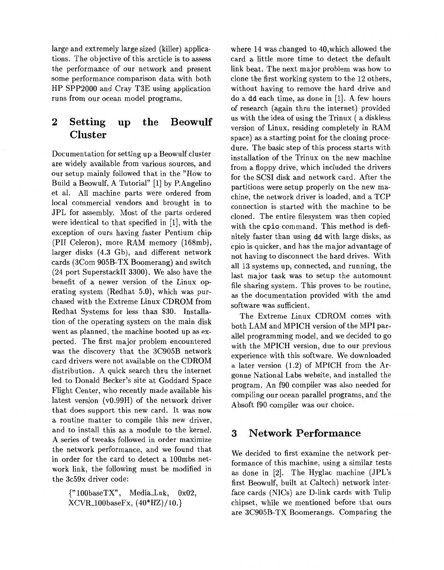large and extremely large sized (killer) applications. The objective of this arcticle is to assess the performance of our network and present some performance comparison data with both HP SPP2000 and Cray T3E using application runs from our ocean model programs.

## **2 Setting up the Beowulf Cluster**

Documentation for setting up a Beowulf cluster are widely available from various sources, and our setup mainly followed that in the "How to Build a Beowulf, A Tutorial" [l] by P.Angelino et al. All machine parts were ordered from local commercial vendors and brought in to JPL for assembly. Most of the parts ordered were identical to that specified in [l], with the exception of ours having faster Pentium chip (PI1 Celeron), more RAM memory (168mb), larger disks (4.3 Gb), and different network cards (Scorn 905B-TX Boomerang) and switch (24 port SuperstackII 3300). We also have the benefit of a newer version of the Linux operating system (Redhat 5.0), which was purchased with the Extreme Linux CDROM from Redhat Systems for less than \$30. Installation of the operating system on the main disk went as planned, the machine booted up as expected. The first major problem encountered was the discovery that the 3C905B network card drivers were not available on the CDROM distribution. A quick search thru the internet led to Donald Becker's site at Goddard Space Flight Center, who recently made available his latest version (v0.99H) of the network driver that does support this new card. It was now a routine matter to compile this new driver, and to install this as a module to the kernel. A series of tweaks followed in order maximize the network performance, and we found that in order for the card to detect a 100mbs network link, the following must be modified in the 3c59x driver code:

{"lOObaseTX", Media-Lnk, 0x02, XCVR-lOObaseFx, (40\*HZ)/10.}

where 14 was changed to 40,which allowed the card a little more time to detect the default link beat. The next major problem was how to clone the first working system to the 12 others, without having to remove the hard drive and do a dd each time, as done in [l]. A few hours of research (again thru the internet) provided us with the idea of using the Trinux ( a diskless version of Linux, residing completely in RAM space) as a starting point for the cloning procedure. The basic step of this process starts with installation of the Trinux on the new machine from a floppy drive, which included the drivers for the SCSI disk and network card. After the partitions were setup properly on the new machine, the network driver is loaded, and a TCP connection is started with the machine to be cloned. The entire filesystem was then copied with the cpio command. This method is definitely faster than using dd with large disks, as cpio is quicker, and has the major advantage of not having to disconnect the hard drives. With all 13 systems up, connected, and running, the last major task was to setup the automount file sharing system. This proves to be routine, as the documentation provided with the amd software was sufficient.

The Extreme Linux CDROM comes with both LAM and MPICH version of the MPI parallel programming model, and we decided to go with the MPICH version, due to our previous experience with this software. We downloaded **a** later version (1.2) of MPICH from the Argonne National Labs website, and installed the program. An f90 compiler was also needed for compiling our ocean parallel programs, and the Absoft f90 compiler was our choice.

### **3 Network Performance**

We decided to first examine the network performance of this machine, using a similar tests as done in  $[2]$ . The Hyglac machine  $(JPL's)$ first Beowulf, built at Caltech) network interface cards (NICs) are D-link cards with Tulip chipset, while we mentioned before that ours are 3C905B-TX Boomerangs. Comparing the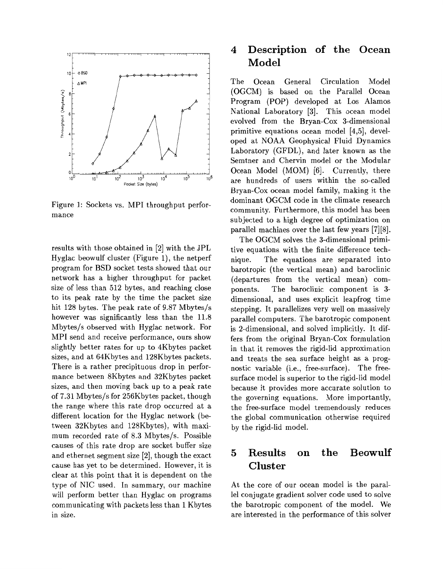

Figure 1: Sockets vs. MPI throughput performance

results with those obtained in  $[2]$  with the JPL Hyglac beowulf cluster (Figure l), the netperf program for BSD socket tests showed that our network has a higher throughput for packet size of less than 512 bytes, and reaching close to its peak rate by the time the packet size hit 128 bytes. The peak rate of 9.87 Mbytes/s however was significantly less than the 11.8 Mbytes/s observed with Hyglac network. For MPI send and receive performance, ours show slightly better rates for up to 4Kbytes packet sizes, and at 64Kbytes and 128Kbytes packets. There is a rather precipituous drop in performance between 8Kbytes and 32Kbytes packet sizes, and then moving back up to a peak rate of 7.31 Mbytes/s for 256Kbytes packet, though the range where this rate drop occurred at a different location for the Hyglac network (between 32Kbytes and 128Kbytes), with maximum recorded rate of 8.3 Mbytes/s. Possible causes of this rate drop are socket buffer size and ethernet segment size  $[2]$ , though the exact cause has yet to be determined. However, it is clear at this point that it is dependent on the type of NIC used. In summary, our machine will perform better than Hyglac on programs communicating with packets less than 1 Kbytes in size.

## **4 Description of the Ocean Model**

The Ocean General Circulation Model (OGCM) is based on the Parallel Ocean Program (POP) developed at Los Alamos National Laboratory [3]. This ocean model evolved from the Bryan-Cox 3-dimensional primitive equations ocean model [4,5], developed at NOAA Geophysical Fluid Dynamics Laboratory (GFDL), and later known as the Semtner and Chervin model or the Modular Ocean Model (MOM) [6]. Currently, there are hundreds of users within the so-called Bryan-Cox ocean model family, making it the dominant OGCM code in the climate research community. Furthermore, this model has been subjected to a high degree of optimization on parallel machines over the last few years [7][8].

The OGCM solves the 3-dimensional primitive equations with the finite difference technique. The equations are separated into barotropic (the vertical mean) and baroclinic (departures from the vertical mean) components. The baroclinic component is 3 dimensional, and uses explicit leapfrog time stepping. It parallelizes very well on massively parallel computers. The barotropic component is 2-dimensional, and solved implicitly. It differs from the original Bryan-Cox formulation in that it removes the rigid-lid approximation and treats the sea surface height as a prognostic variable (i.e., free-surface). The freesurface model is superior to the rigid-lid model because it provides more accurate solution to the governing equations. More importantly, the free-surface model tremendously reduces the global communication otherwise required by the rigid-lid model.

## **5 Results on the Beowulf Cluster**

At the core of our ocean model is the parallel conjugate gradient solver code used to solve the barotropic component of the model. We are interested in the performance of this solver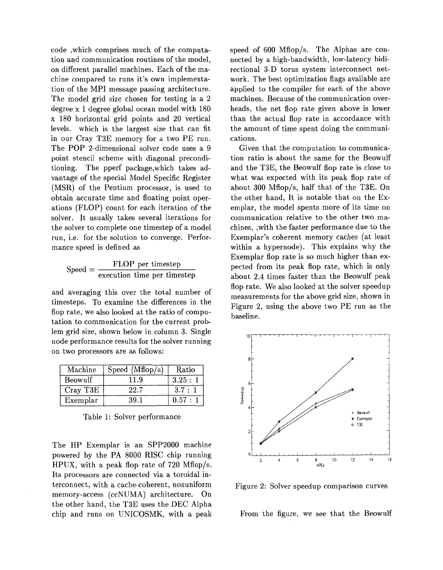code ,which comprises much of the computation and communication routines of the model, on different parallel machines. Each of the machine compared to runs it's own implementation of the MPI message passing architecture. The model grid size chosen for testing is a 2 degree x 1 degree global ocean model with 180 x 180 horizontal grid points and 20 vertical levels. which is the largest size that can fit in our Cray T3E memory for a two PE run. The POP 2-dimensional solver code uses a 9 point stencil scheme with diagonal preconditioning. The pperf package,which takes advantage of the special Model Specific Register (MSR) of the Pentium processor, is used to obtain accurate time and floating point operations (FLOP) count for each iteration of the solver. It usually takes several iterations for the solver to complete one timestep of a model run, i.e. for the solution to converge. Performance speed is defined as

$$
Speed = \frac{FLOP}{execution time per timestep}
$$

and averaging this over the total number of timesteps. To examine the differences in the flop rate, we also looked at the ratio of computation to communication for the current problem grid size, shown below in column 3. Single node performance results for the solver running on two processors are as follows:

| Machine  | Speed $(Mflop/s)$ | Ratio    |
|----------|-------------------|----------|
| Beowulf  | 11.9              | 3.25:1   |
| Cray T3E | 22.7              | 3.7:1    |
| Exemplar | 39.1              | 0.57 : 1 |

Table 1: Solver performance

The HP Exemplar is an SPP2000 machine powered by the PA 8000 RISC chip running HPUX, with a peak flop rate of 720 Mflop/s. Its processors are connected via a toroidal interconnect, with a cache-coherent, nonuniform memory-access (ccNUMA) architecture. On the other hand, the T3E uses the DEC Alpha chip and runs on UNICOSMK, with a peak speed of 600 Mflop/s. The Alphas are connected by a high-bandwidth, low-latency bidirectional 3-D torus system interconnect network. The best optimization flags available are applied to the compiler for each of the above machines. Because of the communication overheads, the net flop rate given above is lower than the actual flop rate in accordance with the amount of time spent doing the communications.

Given that the computation to communication ratio is about the same for the Beowulf and the T3E, the Beowulf flop rate is close to what was expected with its peak flop rate of about 300 Mflop/s, half that of the T3E. On the other hand, It is notable that on the Exemplar, the model spents more of its time on communication relative to the other two machines, ,with the faster performance due to the Exemplar's coherent memory caches (at least within a hypernode). This explains why the Exemplar flop rate is *so* much higher than expected from its peak flop rate, which is only about 2.4 times faster than the Beowulf peak flop rate. We also looked at the solver speedup measurements for the above grid size, shown in Figure 2, using the above two PE run as the baseline.



Figure 2: Solver speedup comparison curves

From the figure, we see that the Beowulf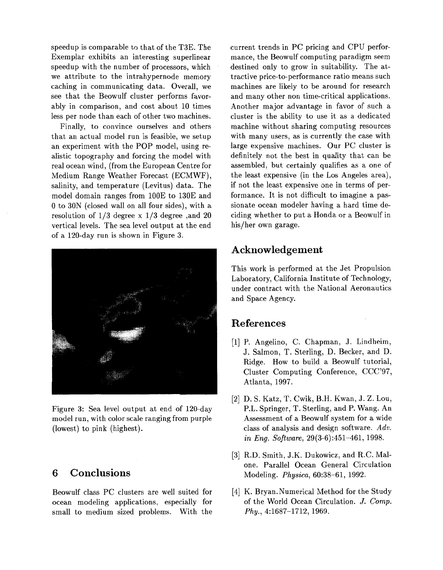speedup is comparable to that of the T3E. The Exemplar exhibits an interesting superlinear speedup with the number of processors, which we attribute to the intrahypernode memory caching in communicating data. Overall, we see that the Beowulf cluster performs favorably in comparison, and cost about 10 times less per node than each of other two machines.

Finally, to convince ourselves and others that an actual model run is feasible, we setup an experiment with the POP model, using realistic topography and forcing the model with real ocean wind, (from the European Centre for Medium Range Weather Forecast (ECMWF), salinity, and temperature (Levitus) data. The model domain ranges from 100E to 130E and 0 to 30N (closed wall on all four sides), with a resolution of 1/3 degree x 1/3 degree ,and 20 vertical levels. The sea level output at the end of a 120-day run is shown in Figure 3.



Figure 3: Sea level output at end of 120-day model run, with color scale ranging from purple (lowest) to pink (highest).

### **6 Conclusions**

Beowulf class PC clusters are well suited for ocean modeling applications, especially for small to medium sized problems. With the current trends in PC pricing and CPU performance, the Beowulf computing paradigm seem destined only to grow in suitability. The attractive price-to-performance ratio means such machines are likely to be around for research and many other non time-critical applications. Another major advantage in favor of such a cluster is the ability to use it as a dedicated machine without sharing computing resources with many users, as is currently the case with large expensive machines. Our PC cluster is definitely not the best in quality that can be assembled, but certainly qualifies as a one of the least expensive (in the Los Angeles area), if not the least expensive one in terms of performance. It is not difficult to imagine a passionate ocean modeler having a hard time deciding whether to put a Honda or a Beowulf in his/her own garage.

### **Acknowledgement**

This work is performed at the Jet Propulsion Laboratory, California Institute of Technology, under contract with the National Aeronautics and Space Agency.

### **References**

- [l] P. Angelino, C. Chapman, J. Lindheim, J. Salmon, T. Sterling, D. Becker, and D. Ridge. How to build a Beowulf tutorial, Cluster Computing Conference, CCC'97, Atlanta, 1997.
- [2] D. S. Katz, T. Cwik, B.H. Kwan, J. Z. Lou, P.L. Springer, T. Sterling, and P. Wang. An Assessment of a Beowulf system for a wide class of analysis and design software. *Adv. in Eng. Software,* 29(3-6):451-461, 1998.
- [3] R.D. Smith, J.K. Dukowicz, and R.C. Malone. Parallel Ocean General Circulation Modeling. *Physicu,* 60:38-61, 1992.
- [4] K. Bryan. Numerical Method for the Study of the World Ocean Circulation. *J. Comp. Phy.,* 4:1687-1712, 1969.